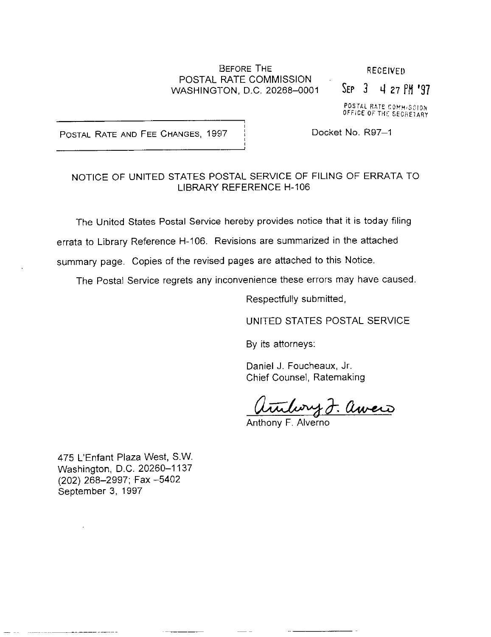#### BEFORE THE RECEIVED POSTAL RATE COMMISSION WASHINGTON, D.C. 20268-0001 SEP 3 4 27 PM '97

POSTAL RATE COMMISSION<br>OFFICE OF THE SECRETARY

POSTAL RATE AND FEE CHANGES, 1997 | Docket No. R97-1

# NOTICE OF UNITED STATES POSTAL SERVICE OF FILING OF ERRATA TO

LIBRARY REFERENCE H-106

The United States Postal Service hereby provides notice that it is today filing

errata to Library Reference H-106. Revisions are summarized in the attached

summary page. Copies of the revised pages are attached to this Notice.

The Postal Service regrets any inconvenience these errors may have caused

Respectfully submitted,

UNITED STATES POSTAL SERVICE

By its attorneys:

Daniel J. Foucheaux, Jr. Chief Counsel, Ratemaking

wry J. awerd

Anthony F. Alverno

475 L'Enfant Plaza West, SW. Washington, D.C. 20260-1137 (202) 268-2997; Fax -5402 September 3, 1997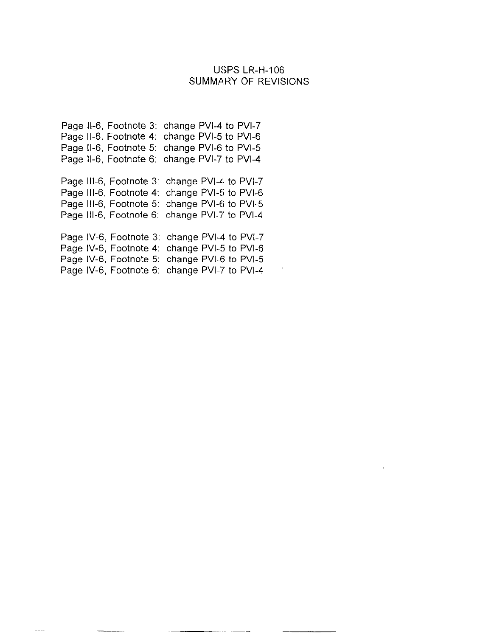#### USPS LR-H-106 SUMMARY OF REVISIONS

Page 11-6. Footnote 3: change PVI-4 to PVI-7 Page 11-6, Footnote 4: change PVI-5 to PVI-6 Page 11-6, Footnote 5: change PVI-6 to PVI-5 Page 11-6, Footnote 6: change PVI-7 to PVI-4

Page 111-6, Footnote 3: change PVI-4 to PVI-7 Page 111-6, Footnote 4: change PVI-5 to PVI-6 Page 111-6, Footnote 5: change PVI-6 to PVI-5 Page 111-6, Footnote 6: change PVI-7 to PVI-4

Page IV-6, Footnote 3: change PVI-4 to PVI-7 Page IV-6, Footnote 4: change PVI-5 to PVI-6 Page IV-6, Footnote 5: change PVI-6 to PVI-5 Page W-6, Footnote 6: change PVI-7 to PVI-4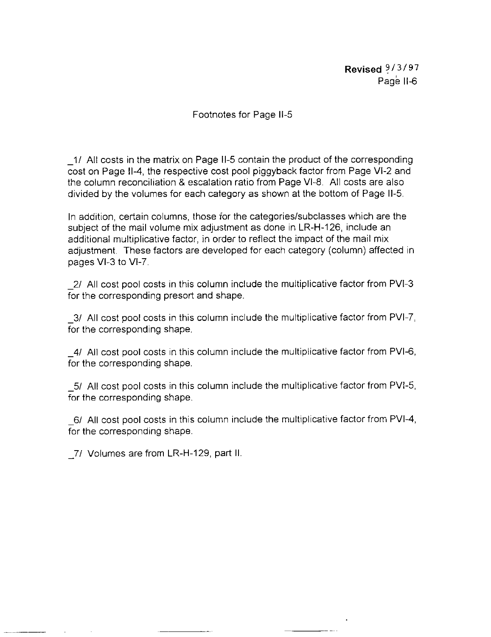Revised  $9/3/97$ Page II-6

## Footnotes for Page II-5

-I/ All costs in the matrix on Page II-5 contain the product of the corresponding cost on Page 11-4, the respective cost pool piggyback factor from Page VI-2 and the column reconciliation & escalation ratio from Page VI-E. All costs are also divided by the volumes for each category as shown at the bottom of Page 11-5.

In addition, certain columns, those for the categories/subclasses which are the subject of the mail volume mix adjustment as done in LR-H-126, include an additional multiplicative factor, in order to reflect the impact of the mail mix adjustment. These factors are developed for each category (column) affected in pages VI-3 to VI-7.

-2/ All cost pool costs in this column include the multiplicative factor from PVI-3 for the corresponding presort and shape.

-31 All cost pool costs in this column include the multiplicative factor from PVI-7, for the corresponding shape.

-4/ All cost pool costs in this column include the multiplicative factor from PVI-6, for the corresponding shape.

-5/ All cost pool costs in this column include the multiplicative factor from PVI-5, for the corresponding shape.

-6/ All cost pool costs in this column include the multiplicative factor from PVI-4, for the corresponding shape.

7/ Volumes are from LR-H-129, part II.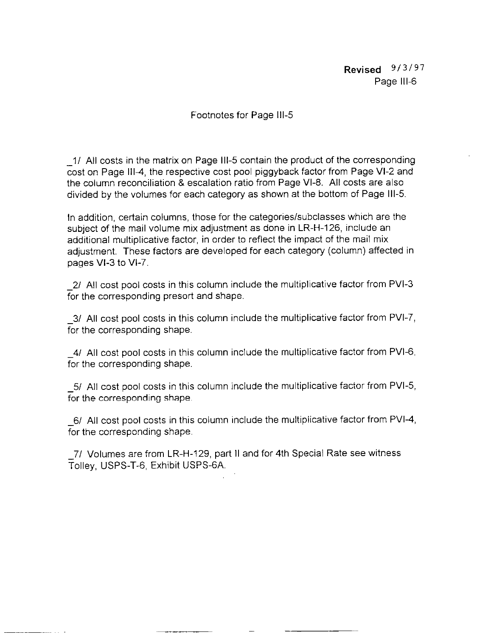Revised  $9/3/97$ Page Ill-6

## Footnotes for Page III-5

-I/ All costs in the matrix on Page Ill-5 contain the product of the corresponding cost on Page 1114, the respective cost pool piggyback factor from Page VI-2 and the column reconciliation & escalation ratio from Page VI-8. All costs are also divided by the volumes for each category as shown at the bottom of Page 111-5.

In addition, certain columns, those for the categories/subclasses which are the subject of the mail volume mix adjustment as done in LR-H-126, include an additional multiplicative factor, in order to reflect the impact of the mail mix adjustment. These factors are developed for each category (column) affected in pages VI-3 to M-7.

-21 All cost pool costs in this column include the multiplicative factor from PM-3 for the corresponding presort and shape.

-31 All cost pool costs in this column include the multiplicative factor from PVI-7, for the corresponding shape.

4/ All cost pool costs in this column include the multiplicative factor from PVI-6. for the corresponding shape.

-51 All cost pool costs in this column include the multiplicative factor from PVI-5, for the corresponding shape.

-6/ All cost pool costs in this column include the multiplicative factor from PVI-4, for the corresponding shape.

-

-71 Volumes are from LR-H-129, part II and for 4th Special Rate see witness Tolley, USPS-T-6, Exhibit USPS-GA.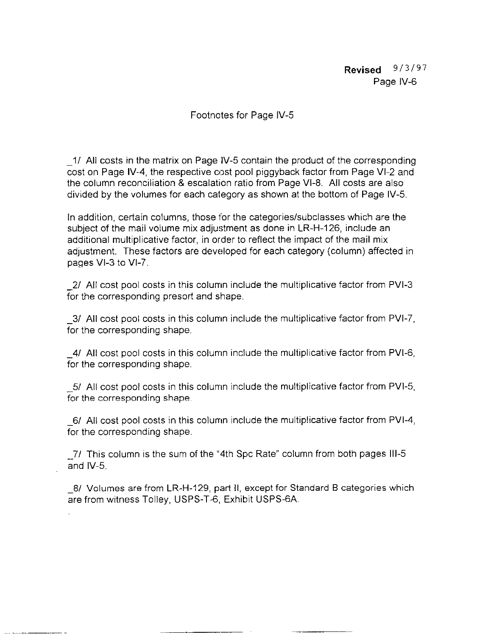Revised  $9/3/97$ Page IV-6

## Footnotes for Page IV-5

-I/ All costs in the matrix on Page IV-5 contain the product of the corresponding cost on Page W-4, the respective cost pool piggyback factor from Page VI-2 and the column reconciliation & escalation ratio from Page VI-E. All costs are also divided by the volumes for each category as shown at the bottom of Page IV-5.

In addition, certain columns, those for the categories/subclasses which are the subject of the mail volume mix adjustment as done in LR-H-126, include an additional multiplicative factor, in order to reflect the impact of the mail mix adjustment. These factors are developed for each category (column) affected in pages VI-3 to VI-7.

2/ All cost pool costs in this column include the multiplicative factor from PVI-3 for the corresponding presort and shape.

-31 All cost pool costs in this column include the multiplicative factor from PVI-7, for the corresponding shape.

-4/ All cost pool costs in this column include the multiplicative factor from PVI-6, for the corresponding shape.

-5/ All cost pool costs in this column include the multiplicative factor from PVI-5, for the corresponding shape.

-6/ All cost pool costs in this column include the multiplicative factor from PVI-4, for the corresponding shape.

-7/ This column is the sum of the "4th Spc Rate" column from both pages Ill-5 and IV-5.

-81 Volumes are from LR-H-129, part II, except for Standard B categories which are from witness Tolley, USPS-T-6, Exhibit USPS-GA.